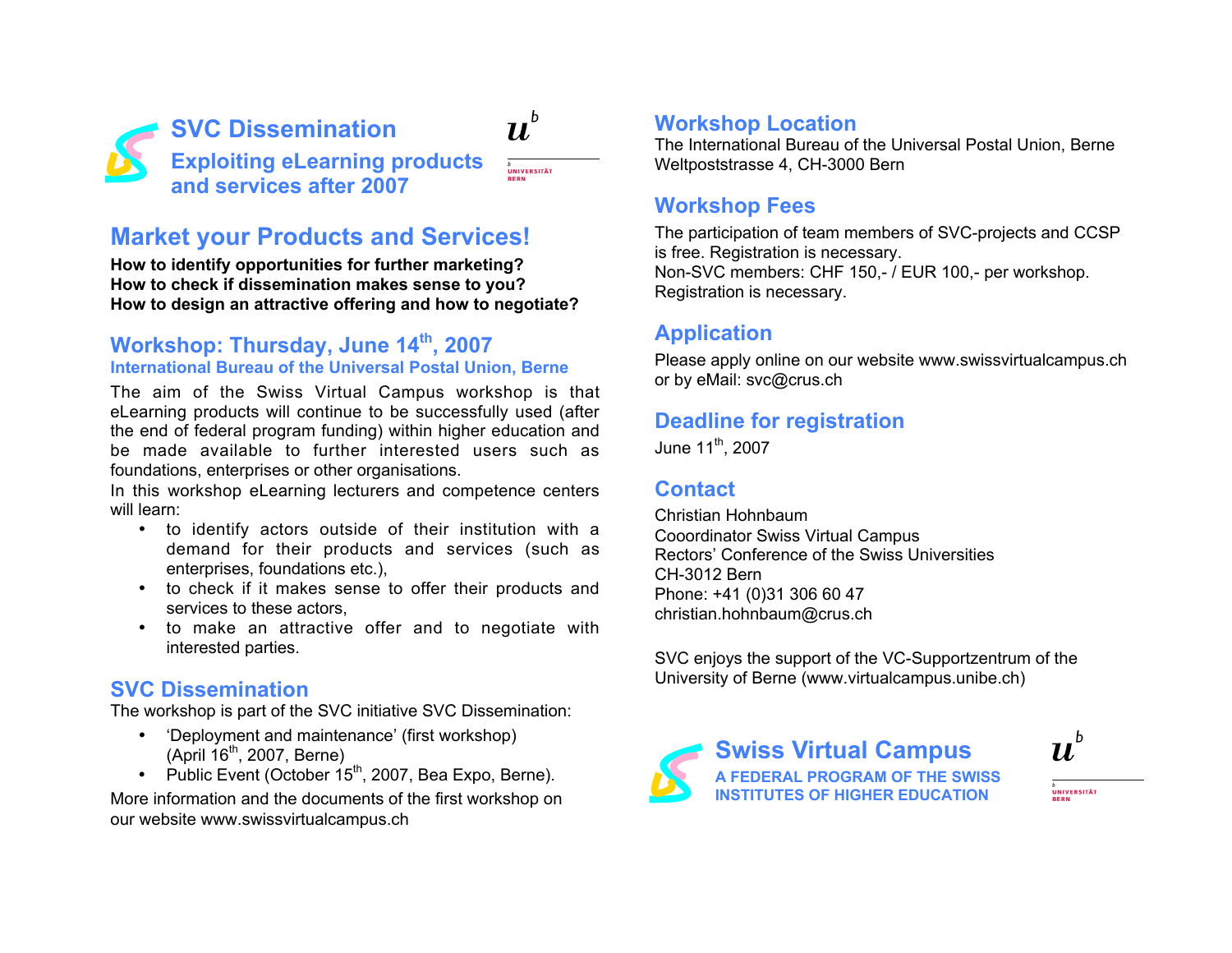

# **Market your Products and Services!**

**How to identify opportunities for further marketing? How to check if dissemination makes sense to you? How to design an attractive offering and how to negotiate?**

#### **Workshop: Thursday, June 14th, 2007 International Bureau of the Universal Postal Union, Berne**

The aim of the Swiss Virtual Campus workshop is that eLearning products will continue to be successfully used (after the end of federal program funding) within higher education and be made available to further interested users such as foundations, enterprises or other organisations.

In this workshop eLearning lecturers and competence centers will learn:

- to identify actors outside of their institution with a demand for their products and services (such as enterprises, foundations etc.),
- to check if it makes sense to offer their products and services to these actors,
- to make an attractive offer and to negotiate with interested parties.

#### **SVC Dissemination**

The workshop is part of the SVC initiative SVC Dissemination:

- 'Deployment and maintenance' (first workshop)  $(Apri 16<sup>th</sup>, 2007, Berne)$
- Public Event (October  $15<sup>th</sup>$ , 2007, Bea Expo, Berne).

More information and the documents of the first workshop on our website www.swissvirtualcampus.ch

#### **Workshop Location**

The International Bureau of the Universal Postal Union, Berne Weltpoststrasse 4, CH-3000 Bern

#### **Workshop Fees**

The participation of team members of SVC-projects and CCSP is free. Registration is necessary. Non-SVC members: CHF 150,- / EUR 100,- per workshop. Registration is necessary.

## **Application**

Please apply online on our website www.swissvirtualcampus.ch or by eMail: svc@crus.ch

## **Deadline for registration**

June  $11^{th}$ , 2007

## **Contact**

Christian Hohnbaum Cooordinator Swiss Virtual Campus Rectors' Conference of the Swiss Universities CH-3012 Bern Phone: +41 (0)31 306 60 47 christian.hohnbaum@crus.ch

SVC enjoys the support of the VC-Supportzentrum of the University of Berne (www.virtualcampus.unibe.ch)



**Swiss Virtual Campus A FEDERAL PROGRAM OF THE SWISS INSTITUTES OF HIGHER EDUCATION**



<sub>D</sub><br>UNIVERSITÄT